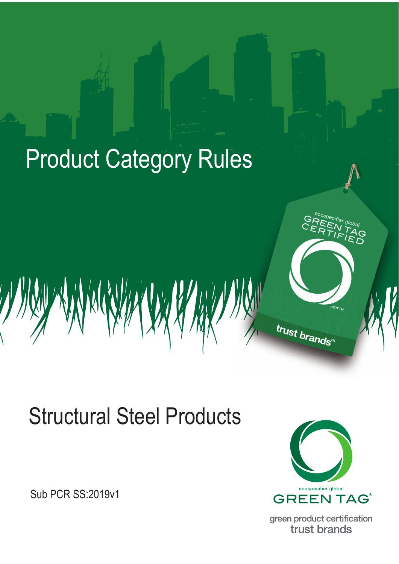

# **Structural Steel Products**

**Sub PCR SS: 2019v1** 



green product certification trust brands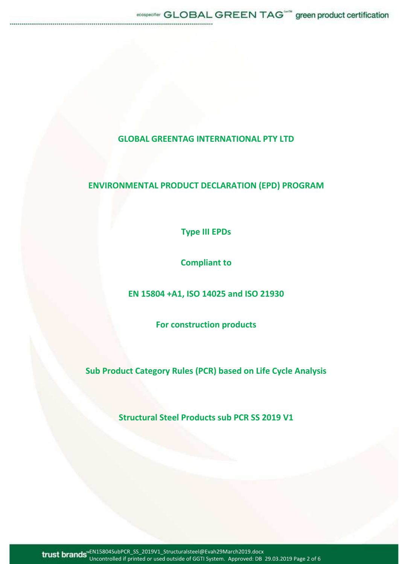# **GLOBAL GREENTAG INTERNATIONAL PTY LTD**

# **ENVIRONMENTAL PRODUCT DECLARATION (EPD) PROGRAM**

**Type III EPDs** 

**Compliant to** 

**EN 15804 +A1, ISO 14025 and ISO 21930** 

**For construction products** 

**Sub Product Category Rules (PCR) based on Life Cycle Analysis** 

**Structural Steel Products sub PCR SS 2019 V1**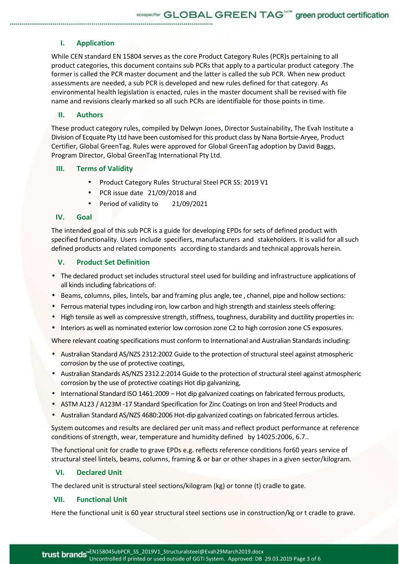## **I. Application**

While CEN standard EN 15804 serves as the core Product Category Rules (PCR)s pertaining to all product categories, this document contains sub PCRs that apply to a particular product category .The former is called the PCR master document and the latter is called the sub PCR. When new product assessments are needed, a sub PCR is developed and new rules defined for that category. As environmental health legislation is enacted, rules in the master document shall be revised with file name and revisions clearly marked so all such PCRs are identifiable for those points in time.

### **II. Authors**

These product category rules, compiled by Delwyn Jones, Director Sustainability, The Evah Institute a Division of Ecquate Pty Ltd have been customised for this product class by Nana Bortsie-Aryee, Product Certifier, Global GreenTag. Rules were approved for Global GreenTag adoption by David Baggs, Program Director, Global GreenTag International Pty Ltd.

#### **III. Terms of Validity**

- Product Category Rules Structural Steel PCR SS: 2019 V1
- PCR issue date 21/09/2018 and
- Period of validity to 21/09/2021

# **IV. Goal**

The intended goal of this sub PCR is a guide for developing EPDs for sets of defined product with specified functionality. Users include specifiers, manufacturers and stakeholders. It is valid for all such defined products and related components according to standards and technical approvals herein.

#### **V. Product Set Definition**

- The declared product set includes structural steel used for building and infrastructure applications of all kinds including fabrications of:
- Beams, columns, piles, lintels, bar and framing plus angle, tee , channel, pipe and hollow sections:
- Ferrous material types including iron, low carbon and high strength and stainless steels offering:
- High tensile as well as compressive strength, stiffness, toughness, durability and ductility properties in:
- Interiors as well as nominated exterior low corrosion zone C2 to high corrosion zone C5 exposures.

Where relevant coating specifications must conform to International and Australian Standards including:

- Australian Standard AS/NZS 2312:2002 Guide to the protection of structural steel against atmospheric corrosion by the use of protective coatings,
- Australian Standards AS/NZS 2312.2:2014 Guide to the protection of structural steel against atmospheric corrosion by the use of protective coatings Hot dip galvanizing,
- International Standard ISO 1461:2009 Hot dip galvanized coatings on fabricated ferrous products,
- ASTM A123 / A123M -17 Standard Specification for Zinc Coatings on Iron and Steel Products and
- Australian Standard AS/NZS 4680:2006 Hot-dip galvanized coatings on fabricated ferrous articles.

System outcomes and results are declared per unit mass and reflect product performance at reference conditions of strength, wear, temperature and humidity defined by 14025:2006, 6.7..

The functional unit for cradle to grave EPDs e.g. reflects reference conditions for60 years service of structural steel lintels, beams, columns, framing & or bar or other shapes in a given sector/kilogram.

## **VI. Declared Unit**

The declared unit is structural steel sections/kilogram (kg) or tonne (t) cradle to gate.

#### **VII. Functional Unit**

Here the functional unit is 60 year structural steel sections use in construction/kg or t cradle to grave.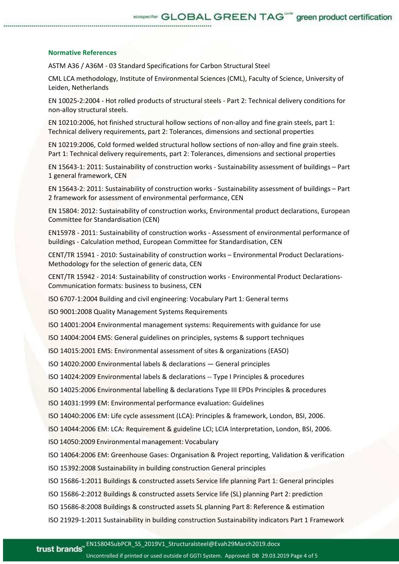#### **Normative References**

ASTM A36 / A36M - 03 Standard Specifications for Carbon Structural Steel

CML LCA methodology, Institute of Environmental Sciences (CML), Faculty of Science, University of Leiden, Netherlands

EN 10025-2:2004 - Hot rolled products of structural steels - Part 2: Technical delivery conditions for non-alloy structural steels.

EN 10210:2006, hot finished structural hollow sections of non-alloy and fine grain steels, part 1: Technical delivery requirements, part 2: Tolerances, dimensions and sectional properties

EN 10219:2006, Cold formed welded structural hollow sections of non-alloy and fine grain steels. Part 1: Technical delivery requirements, part 2: Tolerances, dimensions and sectional properties

EN 15643-1: 2011: Sustainability of construction works - Sustainability assessment of buildings – Part 1 general framework, CEN

EN 15643-2: 2011: Sustainability of construction works - Sustainability assessment of buildings – Part 2 framework for assessment of environmental performance, CEN

EN 15804: 2012: Sustainability of construction works, Environmental product declarations, European Committee for Standardisation (CEN)

EN15978 - 2011: Sustainability of construction works - Assessment of environmental performance of buildings - Calculation method, European Committee for Standardisation, CEN

CENT/TR 15941 - 2010: Sustainability of construction works – Environmental Product Declarations-Methodology for the selection of generic data, CEN

CENT/TR 15942 - 2014: Sustainability of construction works - Environmental Product Declarations-Communication formats: business to business, CEN

ISO 6707-1:2004 Building and civil engineering: Vocabulary Part 1: General terms

ISO 9001:2008 Quality Management Systems Requirements

ISO 14001:2004 Environmental management systems: Requirements with guidance for use

ISO 14004:2004 EMS: General guidelines on principles, systems & support techniques

ISO 14015:2001 EMS: Environmental assessment of sites & organizations (EASO)

ISO 14020:2000 Environmental labels & declarations — General principles

ISO 14024:2009 Environmental labels & declarations -- Type I Principles & procedures

ISO 14025:2006 Environmental labelling & declarations Type III EPDs Principles & procedures

ISO 14031:1999 EM: Environmental performance evaluation: Guidelines

ISO 14040:2006 EM: Life cycle assessment (LCA): Principles & framework, London, BSI, 2006.

ISO 14044:2006 EM: LCA: Requirement & guideline LCI; LCIA Interpretation, London, BSI, 2006.

ISO 14050:2009 Environmental management: Vocabulary

ISO 14064:2006 EM: Greenhouse Gases: Organisation & Project reporting, Validation & verification

ISO 15392:2008 Sustainability in building construction General principles

ISO 15686-1:2011 Buildings & constructed assets Service life planning Part 1: General principles

ISO 15686-2:2012 Buildings & constructed assets Service life (SL) planning Part 2: prediction

ISO 15686-8:2008 Buildings & constructed assets SL planning Part 8: Reference & estimation

ISO 21929-1:2011 Sustainability in building construction Sustainability indicators Part 1 Framework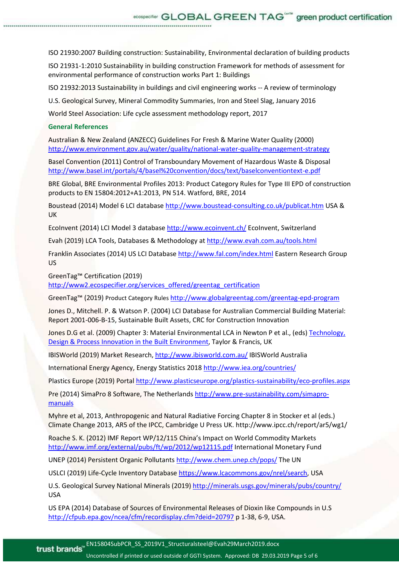ISO 21930:2007 Building construction: Sustainability, Environmental declaration of building products

ISO 21931-1:2010 Sustainability in building construction Framework for methods of assessment for environmental performance of construction works Part 1: Buildings

ISO 21932:2013 Sustainability in buildings and civil engineering works -- A review of terminology

U.S. Geological Survey, Mineral Commodity Summaries, Iron and Steel Slag, January 2016

World Steel Association: Life cycle assessment methodology report, 2017

#### **General References**

Australian & New Zealand (ANZECC) Guidelines For Fresh & Marine Water Quality (2000) http://www.environment.gov.au/water/quality/national-water-quality-management-strategy

Basel Convention (2011) Control of Transboundary Movement of Hazardous Waste & Disposal http://www.basel.int/portals/4/basel%20convention/docs/text/baselconventiontext-e.pdf

BRE Global, BRE Environmental Profiles 2013: Product Category Rules for Type III EPD of construction products to EN 15804:2012+A1:2013, PN 514. Watford, BRE, 2014

Boustead (2014) Model 6 LCI database http://www.boustead-consulting.co.uk/publicat.htm USA & UK

EcoInvent (2014) LCI Model 3 database http://www.ecoinvent.ch/ EcoInvent, Switzerland

Evah (2019) LCA Tools, Databases & Methodology at http://www.evah.com.au/tools.html

Franklin Associates (2014) US LCI Database http://www.fal.com/index.html Eastern Research Group US

GreenTag™ Certification (2019)

http://www2.ecospecifier.org/services\_offered/greentag\_certification

GreenTag™ (2019) Product Category Rules http://www.globalgreentag.com/greentag-epd-program

Jones D., Mitchell. P. & Watson P. (2004) LCI Database for Australian Commercial Building Material: Report 2001-006-B-15, Sustainable Built Assets, CRC for Construction Innovation

Jones D.G et al. (2009) Chapter 3: Material Environmental LCA in Newton P et al., (eds) Technology, Design & Process Innovation in the Built Environment, Taylor & Francis, UK

IBISWorld (2019) Market Research, http://www.ibisworld.com.au/ IBISWorld Australia

International Energy Agency, Energy Statistics 2018 http://www.iea.org/countries/

Plastics Europe (2019) Portal http://www.plasticseurope.org/plastics-sustainability/eco-profiles.aspx

Pre (2014) SimaPro 8 Software, The Netherlands http://www.pre-sustainability.com/simapromanuals

Myhre et al, 2013, Anthropogenic and Natural Radiative Forcing Chapter 8 in Stocker et al (eds.) Climate Change 2013, AR5 of the IPCC, Cambridge U Press UK. http://www.ipcc.ch/report/ar5/wg1/

Roache S. K. (2012) IMF Report WP/12/115 China's Impact on World Commodity Markets http://www.imf.org/external/pubs/ft/wp/2012/wp12115.pdf International Monetary Fund

UNEP (2014) Persistent Organic Pollutants http://www.chem.unep.ch/pops/ The UN

USLCI (2019) Life-Cycle Inventory Database https://www.lcacommons.gov/nrel/search, USA

U.S. Geological Survey National Minerals (2019) http://minerals.usgs.gov/minerals/pubs/country/ USA

US EPA (2014) Database of Sources of Environmental Releases of Dioxin like Compounds in U.S http://cfpub.epa.gov/ncea/cfm/recordisplay.cfm?deid=20797 p 1-38, 6-9, USA.